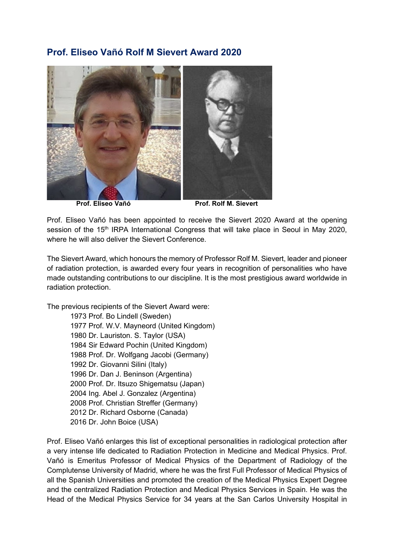## **Prof. Eliseo Vañó Rolf M Sievert Award 2020**



**Prof. Eliseo Vañó** Prof. Rolf M. Sievert

Prof. Eliseo Vañó has been appointed to receive the Sievert 2020 Award at the opening session of the 15<sup>th</sup> IRPA International Congress that will take place in Seoul in May 2020. where he will also deliver the Sievert Conference.

The Sievert Award, which honours the memory of Professor Rolf M. Sievert, leader and pioneer of radiation protection, is awarded every four years in recognition of personalities who have made outstanding contributions to our discipline. It is the most prestigious award worldwide in radiation protection.

The previous recipients of the Sievert Award were:

1973 Prof. Bo Lindell (Sweden) 1977 Prof. W.V. Mayneord (United Kingdom) 1980 Dr. Lauriston. S. Taylor (USA) 1984 Sir Edward Pochin (United Kingdom) 1988 Prof. Dr. Wolfgang Jacobi (Germany) 1992 Dr. Giovanni Silini (Italy) 1996 Dr. Dan J. Beninson (Argentina) 2000 Prof. Dr. Itsuzo Shigematsu (Japan) 2004 Ing. Abel J. Gonzalez (Argentina) 2008 Prof. Christian Streffer (Germany) 2012 Dr. Richard Osborne (Canada) 2016 Dr. John Boice (USA)

Prof. Eliseo Vañó enlarges this list of exceptional personalities in radiological protection after a very intense life dedicated to Radiation Protection in Medicine and Medical Physics. Prof. Vañó is Emeritus Professor of Medical Physics of the Department of Radiology of the Complutense University of Madrid, where he was the first Full Professor of Medical Physics of all the Spanish Universities and promoted the creation of the Medical Physics Expert Degree and the centralized Radiation Protection and Medical Physics Services in Spain. He was the Head of the Medical Physics Service for 34 years at the San Carlos University Hospital in